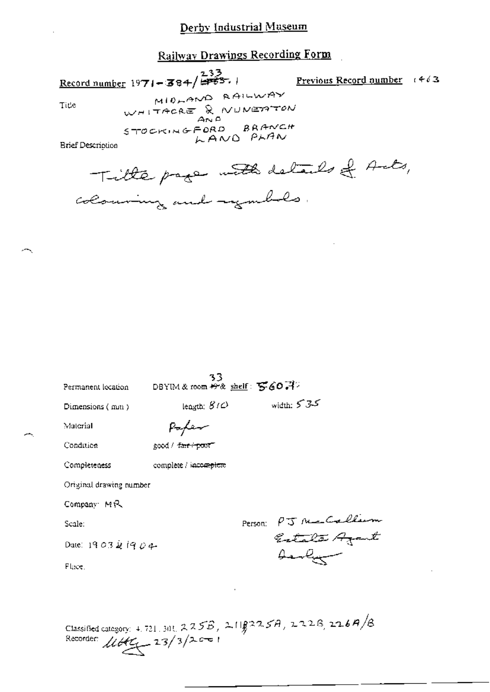# Derby Industrial Museum

**Railway Drawings Recording Form** 

Record number 1971-384/233.

Previous Record number  $t \notin \delta$ 3

Title

MIDLAND RAILWAY WHITACRE & NUNETTON STOCKINGFORD BRANCH LAND PLAN

**Brief Description** 

Title page with details of Acts, colouring and ingulates.

| Permanent lecation      | 33<br>DBYIM & room # & shelf: $560.77$ |         |                              |
|-------------------------|----------------------------------------|---------|------------------------------|
| Dimensions (mm)         | length: $S$ $\in$                      |         | width: $535$                 |
| Material                |                                        |         |                              |
| Condition               | good / f <del>air / po</del> ot=       |         |                              |
| Completeness            | complete / incomplete                  |         |                              |
| Original drawing number |                                        |         |                              |
| Company MR              |                                        |         |                              |
| Scale:                  |                                        | Person: | PJ Ne Callum<br>Estata Azant |
| Date: 1903 & 1904       |                                        |         | Arabum                       |
| Flace.                  |                                        |         |                              |
|                         |                                        |         |                              |
|                         |                                        |         |                              |
|                         |                                        |         |                              |

Classified category: 4.721.301.225B, 2118225A, 222B, 226A/B<br>Recorder:  $\mu$ 665 23/3/2001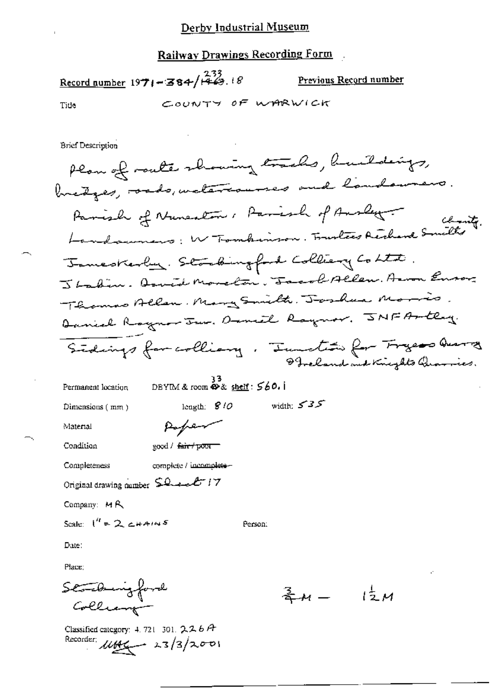## Railway Drawings Recording Form

Record number 1971-384/ $\frac{233}{1463}$ . 18 Previous Record number

Tide

COUNTY OF WARWICK

**Brief Description** 

Permanent location

 $33$ <br>DBYIM & room  $\mathbf{\Phi}$ & shelf:  $560.1$ 

length:  $$10$ 

Poper

Dimensions  $(mn)$ 

width:  $535$ 

Material

Condition

good / fair / poor

Completeness complete / incomplete -

Original drawing number \$2 and 17

Company: MR

Scale:  $1^{\prime\prime}$  = 2 chains

Person:

Date:

Place:

Statburgford<br>Colliant

Classified category: 4, 721-301, 226A Recorder:  $\mu$ 

 $\frac{2}{3}M - \frac{1}{2}M$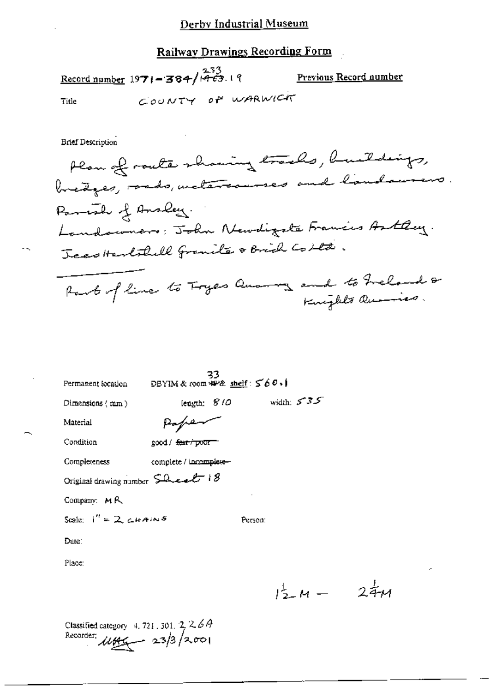## Derby Industrial Museum

## Railway Drawings Recording Form

Record number  $1971 - 384 / 1463.19$ Previous Record number COUNTY OF WARWICK Title

**Brief Description** 

33<br>DBYIM & room  $\#P$ & shelf:  $\leq 60.1$ Permanent location

length: 810

Dimensions  $(mn)$ 

width:  $5 - 35$ 

Material

Condition

Paper good / fear / poor

Completeness complete / incomplete-

Original drawing number Sheet 18

Company: MR

Scale:  $I'' = 2$ , chains

Person:

Date:

Place:

 $1\frac{1}{2}M - 2\frac{1}{4}M$ 

Classified category 4, 721, 301,  $2,26A$ Recorder:  $\mu$